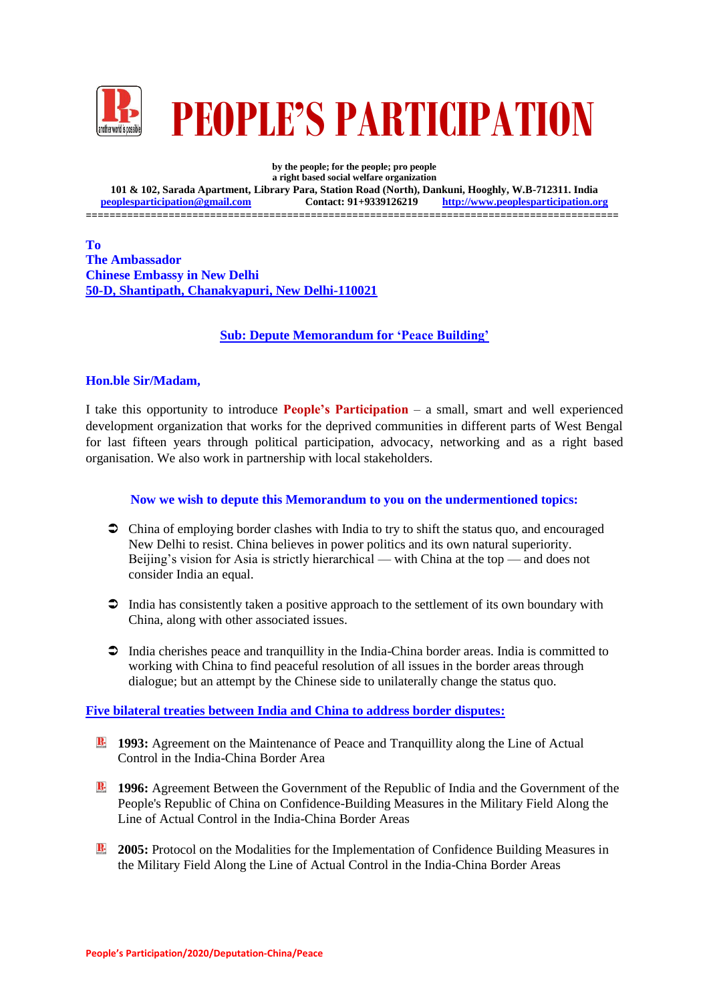

**by the people; for the people; pro people a right based social welfare organization 101 & 102, Sarada Apartment, Library Para, Station Road (North), Dankuni, Hooghly, W.B-712311. India peoplesparticipation@gmail.com** ==========================================================================================

**To The Ambassador Chinese Embassy in New Delhi 50-D, Shantipath, Chanakyapuri, New Delhi-110021**

## **Sub: Depute Memorandum for 'Peace Building'**

## **Hon.ble Sir/Madam,**

I take this opportunity to introduce **People's Participation** – a small, smart and well experienced development organization that works for the deprived communities in different parts of West Bengal for last fifteen years through political participation, advocacy, networking and as a right based organisation. We also work in partnership with local stakeholders.

## **Now we wish to depute this Memorandum to you on the undermentioned topics:**

- China of employing border clashes with India to try to shift the status quo, and encouraged New Delhi to resist. China believes in power politics and its own natural superiority. Beijing's vision for Asia is strictly hierarchical — with China at the top — and does not consider India an equal.
- India has consistently taken a positive approach to the settlement of its own boundary with China, along with other associated issues.
- $\supset$  India cherishes peace and tranquillity in the India-China border areas. India is committed to working with China to find peaceful resolution of all issues in the border areas through dialogue; but an attempt by the Chinese side to unilaterally change the status quo.

## **Five bilateral treaties between India and China to address border disputes:**

- **1993:** Agreement on the Maintenance of Peace and Tranquillity along the Line of Actual Control in the India-China Border Area
- **1996:** Agreement Between the Government of the Republic of India and the Government of the People's Republic of China on Confidence-Building Measures in the Military Field Along the Line of Actual Control in the India-China Border Areas
- **2005:** Protocol on the Modalities for the Implementation of Confidence Building Measures in the Military Field Along the Line of Actual Control in the India-China Border Areas